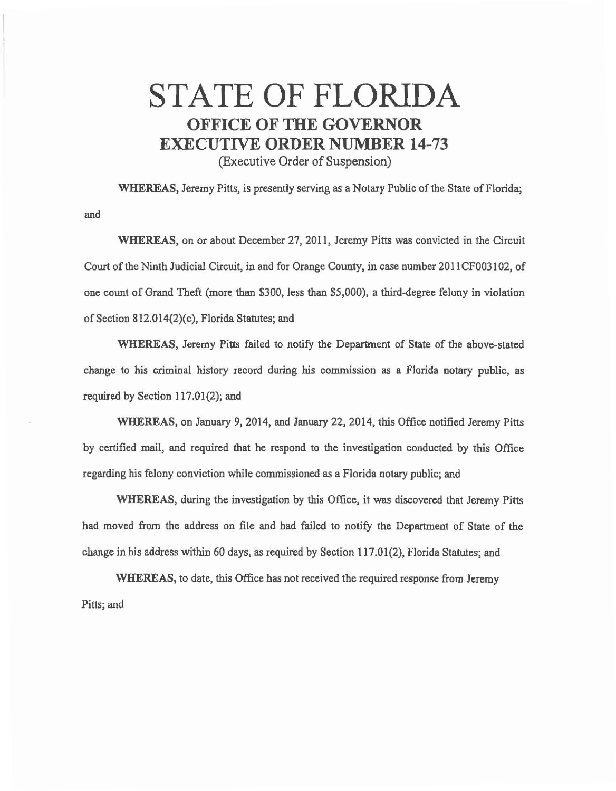## STATE OF FLORIDA **OFFICE OF THE GOVERNOR EXECUTIVE ORDER NUMBER 14-73**

(Executive Order of Suspension)

and

WHEREAS, Jeremy Pitts, is presently serving as a Notary Public of the State of Florida;

WHEREAS, on or about December 27, 2011, Jeremy Pitts was convicted in the Circuit Court of the Ninth Judicial Circuit, in and for Orange County, in case number 2011CF003102, of one count of Grand Theft (more than \$300, less than \$5,000), a third-degree felony in violation of Section  $812.014(2)(c)$ , Florida Statutes; and

WHEREAS, Jeremy Pitts failed to notify the Department of State of the above-stated change to his criminal history record during his commission as a Florida notary public, as required by Section 117.01(2); and

WHEREAS, on January 9, 2014, and January 22, 2014, this Office notified Jeremy Pitts by certified mail, and required that he respond to the investigation conducted by this Office regarding his felony conviction while commissioned as a Florida notary public; and

WHEREAS, during the investigation by this Office, it was discovered that Jeremy Pitts had moved from the address on file and had failed to notify the Department of State of the change in his address within 60 days, as required by Section 117.01 (2), Florida Statutes; and

WHEREAS, to date, this Office has not received the required response from Jeremy Pitts; and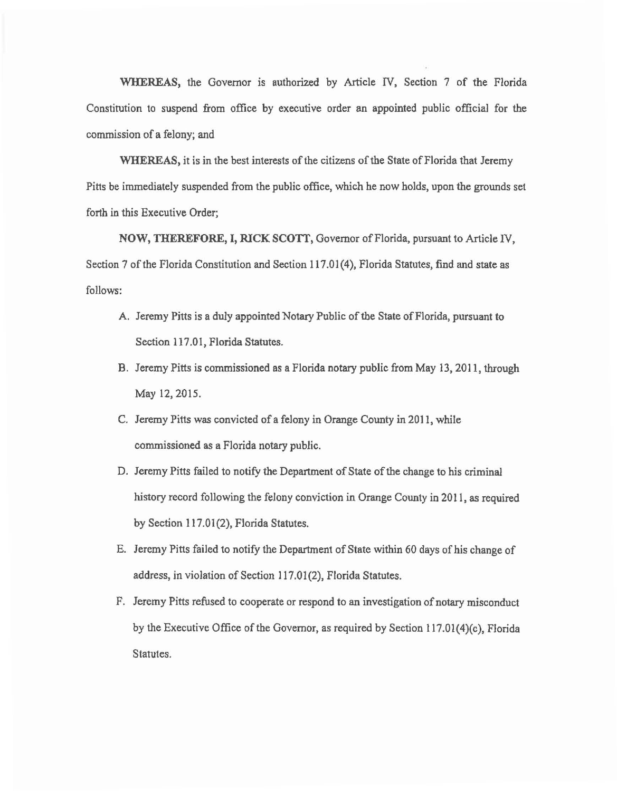WHEREAS, the Governor is authorized by Article IV, Section 7 of the Florida Constitution to suspend from office by executive order an appointed public official for the commission of a felony; and

WHEREAS, it is in the best interests of the citizens of the State of Florida that Jeremy Pitts be immediately suspended from the public office, which he now holds, upon the grounds set forth in this Executive Order;

NOW, THEREFORE, I, RICK SCOTT, Governor of Florida, pursuant to Article IV, Section 7 of the Florida Constitution and Section 117.01 (4), Florida Statutes, find and state as follows:

- A. Jeremy Pitts is a duly appointed Notary Public of the State of Florida, pursuant to Section 117.01, Florida Statutes.
- B. Jeremy Pitts is commissioned as a Florida notary public from May 13, 2011, through May 12, 2015.
- C. Jeremy Pitts was convicted of a felony in Orange County in 2011, while commissioned as a Florida notary public.
- D. Jeremy Pitts failed to notify the Department of State of the change to his criminal history record following the felony conviction in Orange County in 2011, as required by Section 117.01(2), Florida Statutes.
- E. Jeremy Pitts failed to notify the Department of State within 60 days of his change of address, in violation of Section 117.01 (2), Florida Statutes.
- F. Jeremy Pitts refused to cooperate or respond to an investigation of notary misconduct by the Executive Office of the Governor, as required by Section 117.01(4)(c), Florida Statutes.